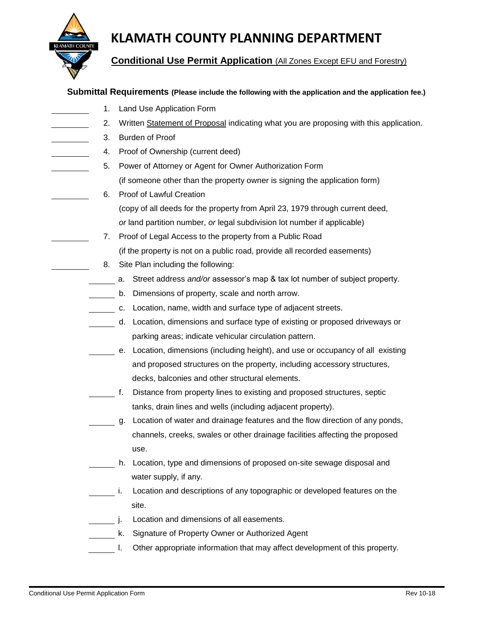

## **KLAMATH COUNTY PLANNING DEPARTMENT**

**Conditional Use Permit Application** (All Zones Except EFU and Forestry)

### **Submittal Requirements (Please include the following with the application and the application fee.)**

1. Land Use Application Form 2. Written Statement of Proposal indicating what you are proposing with this application. 3. Burden of Proof 4. Proof of Ownership (current deed) 5. Power of Attorney or Agent for Owner Authorization Form (if someone other than the property owner is signing the application form) 6. Proof of Lawful Creation (copy of all deeds for the property from April 23, 1979 through current deed, *or* land partition number, *or* legal subdivision lot number if applicable) 7. Proof of Legal Access to the property from a Public Road (if the property is not on a public road, provide all recorded easements) 8. Site Plan including the following: a. Street address *and/or* assessor's map & tax lot number of subject property. b. Dimensions of property, scale and north arrow. c. Location, name, width and surface type of adjacent streets. d. Location, dimensions and surface type of existing or proposed driveways or parking areas; indicate vehicular circulation pattern. e. Location, dimensions (including height), and use or occupancy of all existing and proposed structures on the property, including accessory structures, decks, balconies and other structural elements. f. Distance from property lines to existing and proposed structures, septic tanks, drain lines and wells (including adjacent property). g. Location of water and drainage features and the flow direction of any ponds, channels, creeks, swales or other drainage facilities affecting the proposed use. h. Location, type and dimensions of proposed on-site sewage disposal and water supply, if any. i. Location and descriptions of any topographic or developed features on the site. **j.** Location and dimensions of all easements. k. Signature of Property Owner or Authorized Agent l. Other appropriate information that may affect development of this property.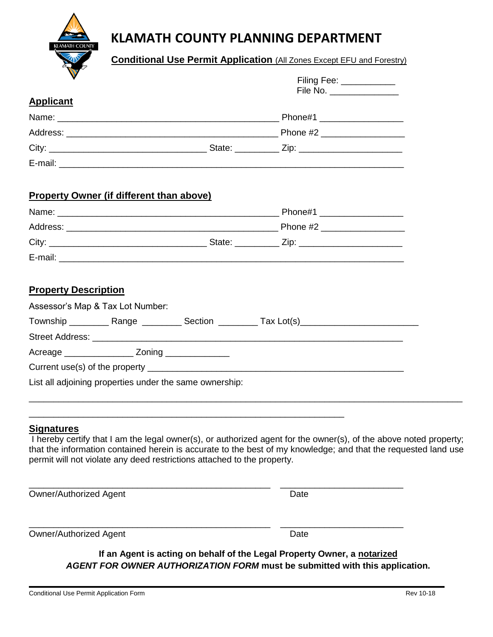

# **KLAMATH COUNTY PLANNING DEPARTMENT**

**Conditional Use Permit Application** (All Zones Except EFU and Forestry)

| $\mathbf v$                                                                                                                                                                                                                                                                                                                         | Filing Fee: ____________   |  |
|-------------------------------------------------------------------------------------------------------------------------------------------------------------------------------------------------------------------------------------------------------------------------------------------------------------------------------------|----------------------------|--|
|                                                                                                                                                                                                                                                                                                                                     | File No. _________________ |  |
| <b>Applicant</b>                                                                                                                                                                                                                                                                                                                    |                            |  |
|                                                                                                                                                                                                                                                                                                                                     |                            |  |
|                                                                                                                                                                                                                                                                                                                                     |                            |  |
|                                                                                                                                                                                                                                                                                                                                     |                            |  |
|                                                                                                                                                                                                                                                                                                                                     |                            |  |
| <b>Property Owner (if different than above)</b>                                                                                                                                                                                                                                                                                     |                            |  |
|                                                                                                                                                                                                                                                                                                                                     |                            |  |
|                                                                                                                                                                                                                                                                                                                                     |                            |  |
|                                                                                                                                                                                                                                                                                                                                     |                            |  |
|                                                                                                                                                                                                                                                                                                                                     |                            |  |
| <b>Property Description</b><br>Assessor's Map & Tax Lot Number:                                                                                                                                                                                                                                                                     |                            |  |
| Acreage _________________________ Zoning __________________                                                                                                                                                                                                                                                                         |                            |  |
|                                                                                                                                                                                                                                                                                                                                     |                            |  |
| List all adjoining properties under the same ownership:                                                                                                                                                                                                                                                                             |                            |  |
| <b>Signatures</b><br>I hereby certify that I am the legal owner(s), or authorized agent for the owner(s), of the above noted property;<br>that the information contained herein is accurate to the best of my knowledge; and that the requested land use<br>permit will not violate any deed restrictions attached to the property. |                            |  |
| <b>Owner/Authorized Agent</b>                                                                                                                                                                                                                                                                                                       | Date                       |  |

Owner/Authorized Agent **Date** 

**If an Agent is acting on behalf of the Legal Property Owner, a notarized** *AGENT FOR OWNER AUTHORIZATION FORM* **must be submitted with this application.**

\_\_\_\_\_\_\_\_\_\_\_\_\_\_\_\_\_\_\_\_\_\_\_\_\_\_\_\_\_\_\_\_\_\_\_\_\_\_\_\_\_\_\_\_\_\_\_\_\_ \_\_\_\_\_\_\_\_\_\_\_\_\_\_\_\_\_\_\_\_\_\_\_\_\_